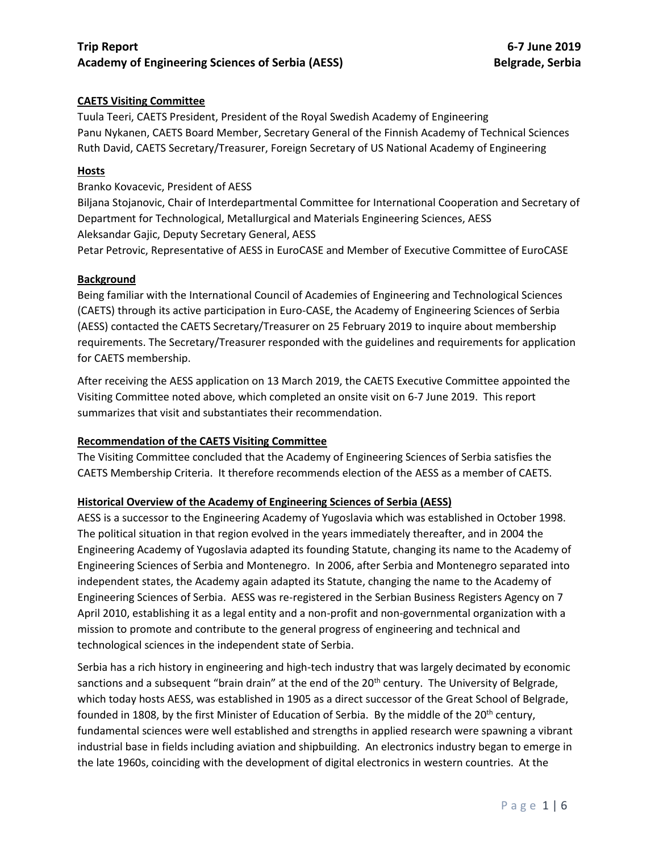## **CAETS Visiting Committee**

Tuula Teeri, CAETS President, President of the Royal Swedish Academy of Engineering Panu Nykanen, CAETS Board Member, Secretary General of the Finnish Academy of Technical Sciences Ruth David, CAETS Secretary/Treasurer, Foreign Secretary of US National Academy of Engineering

## **Hosts**

Branko Kovacevic, President of AESS

Biljana Stojanovic, Chair of Interdepartmental Committee for International Cooperation and Secretary of Department for Technological, Metallurgical and Materials Engineering Sciences, AESS Aleksandar Gajic, Deputy Secretary General, AESS

Petar Petrovic, Representative of AESS in EuroCASE and Member of Executive Committee of EuroCASE

#### **Background**

Being familiar with the International Council of Academies of Engineering and Technological Sciences (CAETS) through its active participation in Euro-CASE, the Academy of Engineering Sciences of Serbia (AESS) contacted the CAETS Secretary/Treasurer on 25 February 2019 to inquire about membership requirements. The Secretary/Treasurer responded with the guidelines and requirements for application for CAETS membership.

After receiving the AESS application on 13 March 2019, the CAETS Executive Committee appointed the Visiting Committee noted above, which completed an onsite visit on 6-7 June 2019. This report summarizes that visit and substantiates their recommendation.

## **Recommendation of the CAETS Visiting Committee**

The Visiting Committee concluded that the Academy of Engineering Sciences of Serbia satisfies the CAETS Membership Criteria. It therefore recommends election of the AESS as a member of CAETS.

## **Historical Overview of the Academy of Engineering Sciences of Serbia (AESS)**

AESS is a successor to the Engineering Academy of Yugoslavia which was established in October 1998. The political situation in that region evolved in the years immediately thereafter, and in 2004 the Engineering Academy of Yugoslavia adapted its founding Statute, changing its name to the Academy of Engineering Sciences of Serbia and Montenegro. In 2006, after Serbia and Montenegro separated into independent states, the Academy again adapted its Statute, changing the name to the Academy of Engineering Sciences of Serbia. AESS was re-registered in the Serbian Business Registers Agency on 7 April 2010, establishing it as a legal entity and a non-profit and non-governmental organization with a mission to promote and contribute to the general progress of engineering and technical and technological sciences in the independent state of Serbia.

Serbia has a rich history in engineering and high-tech industry that was largely decimated by economic sanctions and a subsequent "brain drain" at the end of the 20<sup>th</sup> century. The University of Belgrade, which today hosts AESS, was established in 1905 as a direct successor of the Great School of Belgrade, founded in 1808, by the first Minister of Education of Serbia. By the middle of the 20<sup>th</sup> century, fundamental sciences were well established and strengths in applied research were spawning a vibrant industrial base in fields including aviation and shipbuilding. An electronics industry began to emerge in the late 1960s, coinciding with the development of digital electronics in western countries. At the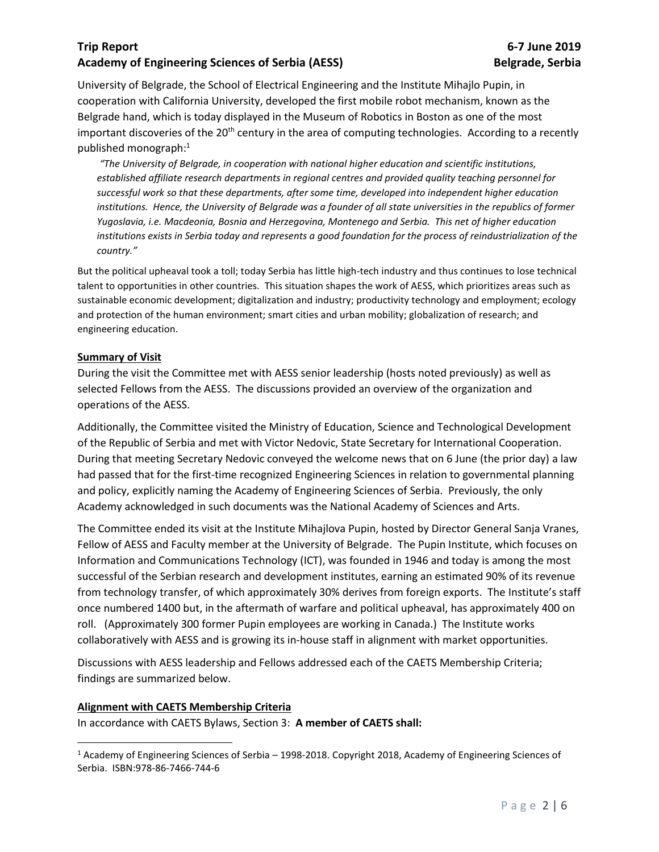University of Belgrade, the School of Electrical Engineering and the Institute Mihajlo Pupin, in cooperation with California University, developed the first mobile robot mechanism, known as the Belgrade hand, which is today displayed in the Museum of Robotics in Boston as one of the most important discoveries of the  $20<sup>th</sup>$  century in the area of computing technologies. According to a recently published monograph:<sup>1</sup>

*"The University of Belgrade, in cooperation with national higher education and scientific institutions, established affiliate research departments in regional centres and provided quality teaching personnel for successful work so that these departments, after some time, developed into independent higher education*  institutions. Hence, the University of Belgrade was a founder of all state universities in the republics of former *Yugoslavia, i.e. Macdeonia, Bosnia and Herzegovina, Montenego and Serbia. This net of higher education*  institutions exists in Serbia today and represents a good foundation for the process of reindustrialization of the *country."*

But the political upheaval took a toll; today Serbia has little high-tech industry and thus continues to lose technical talent to opportunities in other countries. This situation shapes the work of AESS, which prioritizes areas such as sustainable economic development; digitalization and industry; productivity technology and employment; ecology and protection of the human environment; smart cities and urban mobility; globalization of research; and engineering education.

## **Summary of Visit**

During the visit the Committee met with AESS senior leadership (hosts noted previously) as well as selected Fellows from the AESS. The discussions provided an overview of the organization and operations of the AESS.

Additionally, the Committee visited the Ministry of Education, Science and Technological Development of the Republic of Serbia and met with Victor Nedovic, State Secretary for International Cooperation. During that meeting Secretary Nedovic conveyed the welcome news that on 6 June (the prior day) a law had passed that for the first-time recognized Engineering Sciences in relation to governmental planning and policy, explicitly naming the Academy of Engineering Sciences of Serbia. Previously, the only Academy acknowledged in such documents was the National Academy of Sciences and Arts.

The Committee ended its visit at the Institute Mihajlova Pupin, hosted by Director General Sanja Vranes, Fellow of AESS and Faculty member at the University of Belgrade. The Pupin Institute, which focuses on Information and Communications Technology (ICT), was founded in 1946 and today is among the most successful of the Serbian research and development institutes, earning an estimated 90% of its revenue from technology transfer, of which approximately 30% derives from foreign exports. The Institute's staff once numbered 1400 but, in the aftermath of warfare and political upheaval, has approximately 400 on roll. (Approximately 300 former Pupin employees are working in Canada.) The Institute works collaboratively with AESS and is growing its in-house staff in alignment with market opportunities.

Discussions with AESS leadership and Fellows addressed each of the CAETS Membership Criteria; findings are summarized below.

## **Alignment with CAETS Membership Criteria**

 $\overline{\phantom{a}}$ 

In accordance with CAETS Bylaws, Section 3: **A member of CAETS shall:**

<sup>1</sup> Academy of Engineering Sciences of Serbia – 1998-2018. Copyright 2018, Academy of Engineering Sciences of Serbia. ISBN:978-86-7466-744-6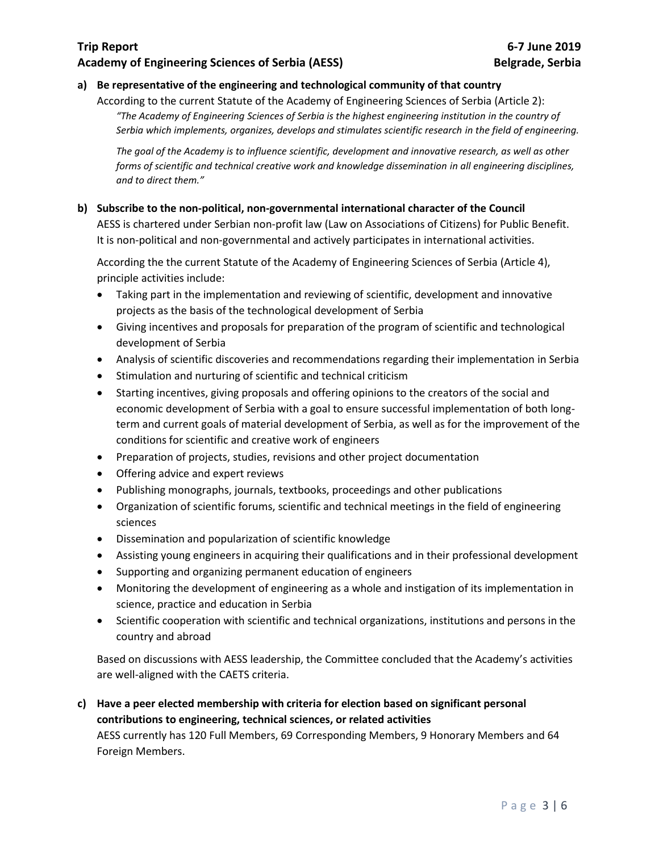# **a) Be representative of the engineering and technological community of that country**

According to the current Statute of the Academy of Engineering Sciences of Serbia (Article 2): *"The Academy of Engineering Sciences of Serbia is the highest engineering institution in the country of Serbia which implements, organizes, develops and stimulates scientific research in the field of engineering.*

*The goal of the Academy is to influence scientific, development and innovative research, as well as other forms of scientific and technical creative work and knowledge dissemination in all engineering disciplines, and to direct them."*

## **b) Subscribe to the non-political, non-governmental international character of the Council**

AESS is chartered under Serbian non-profit law (Law on Associations of Citizens) for Public Benefit. It is non-political and non-governmental and actively participates in international activities.

According the the current Statute of the Academy of Engineering Sciences of Serbia (Article 4), principle activities include:

- Taking part in the implementation and reviewing of scientific, development and innovative projects as the basis of the technological development of Serbia
- Giving incentives and proposals for preparation of the program of scientific and technological development of Serbia
- Analysis of scientific discoveries and recommendations regarding their implementation in Serbia
- Stimulation and nurturing of scientific and technical criticism
- Starting incentives, giving proposals and offering opinions to the creators of the social and economic development of Serbia with a goal to ensure successful implementation of both longterm and current goals of material development of Serbia, as well as for the improvement of the conditions for scientific and creative work of engineers
- Preparation of projects, studies, revisions and other project documentation
- Offering advice and expert reviews
- Publishing monographs, journals, textbooks, proceedings and other publications
- Organization of scientific forums, scientific and technical meetings in the field of engineering sciences
- Dissemination and popularization of scientific knowledge
- Assisting young engineers in acquiring their qualifications and in their professional development
- Supporting and organizing permanent education of engineers
- Monitoring the development of engineering as a whole and instigation of its implementation in science, practice and education in Serbia
- Scientific cooperation with scientific and technical organizations, institutions and persons in the country and abroad

Based on discussions with AESS leadership, the Committee concluded that the Academy's activities are well-aligned with the CAETS criteria.

**c) Have a peer elected membership with criteria for election based on significant personal contributions to engineering, technical sciences, or related activities** AESS currently has 120 Full Members, 69 Corresponding Members, 9 Honorary Members and 64

Foreign Members.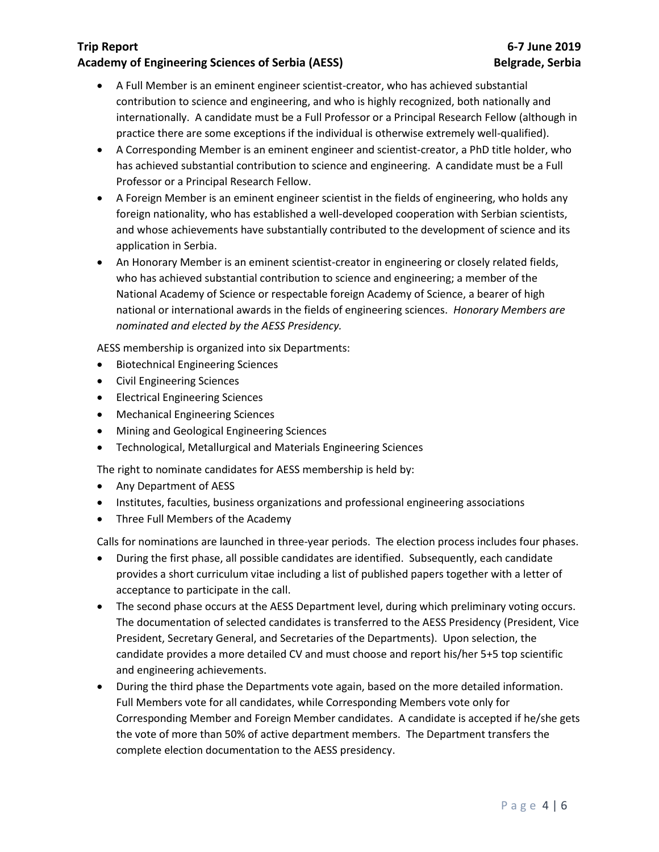- A Full Member is an eminent engineer scientist-creator, who has achieved substantial contribution to science and engineering, and who is highly recognized, both nationally and internationally. A candidate must be a Full Professor or a Principal Research Fellow (although in practice there are some exceptions if the individual is otherwise extremely well-qualified).
- A Corresponding Member is an eminent engineer and scientist-creator, a PhD title holder, who has achieved substantial contribution to science and engineering. A candidate must be a Full Professor or a Principal Research Fellow.
- A Foreign Member is an eminent engineer scientist in the fields of engineering, who holds any foreign nationality, who has established a well-developed cooperation with Serbian scientists, and whose achievements have substantially contributed to the development of science and its application in Serbia.
- An Honorary Member is an eminent scientist-creator in engineering or closely related fields, who has achieved substantial contribution to science and engineering; a member of the National Academy of Science or respectable foreign Academy of Science, a bearer of high national or international awards in the fields of engineering sciences. *Honorary Members are nominated and elected by the AESS Presidency.*

AESS membership is organized into six Departments:

- Biotechnical Engineering Sciences
- Civil Engineering Sciences
- Electrical Engineering Sciences
- Mechanical Engineering Sciences
- Mining and Geological Engineering Sciences
- Technological, Metallurgical and Materials Engineering Sciences

The right to nominate candidates for AESS membership is held by:

- Any Department of AESS
- Institutes, faculties, business organizations and professional engineering associations
- Three Full Members of the Academy

Calls for nominations are launched in three-year periods. The election process includes four phases.

- During the first phase, all possible candidates are identified. Subsequently, each candidate provides a short curriculum vitae including a list of published papers together with a letter of acceptance to participate in the call.
- The second phase occurs at the AESS Department level, during which preliminary voting occurs. The documentation of selected candidates is transferred to the AESS Presidency (President, Vice President, Secretary General, and Secretaries of the Departments). Upon selection, the candidate provides a more detailed CV and must choose and report his/her 5+5 top scientific and engineering achievements.
- During the third phase the Departments vote again, based on the more detailed information. Full Members vote for all candidates, while Corresponding Members vote only for Corresponding Member and Foreign Member candidates. A candidate is accepted if he/she gets the vote of more than 50% of active department members. The Department transfers the complete election documentation to the AESS presidency.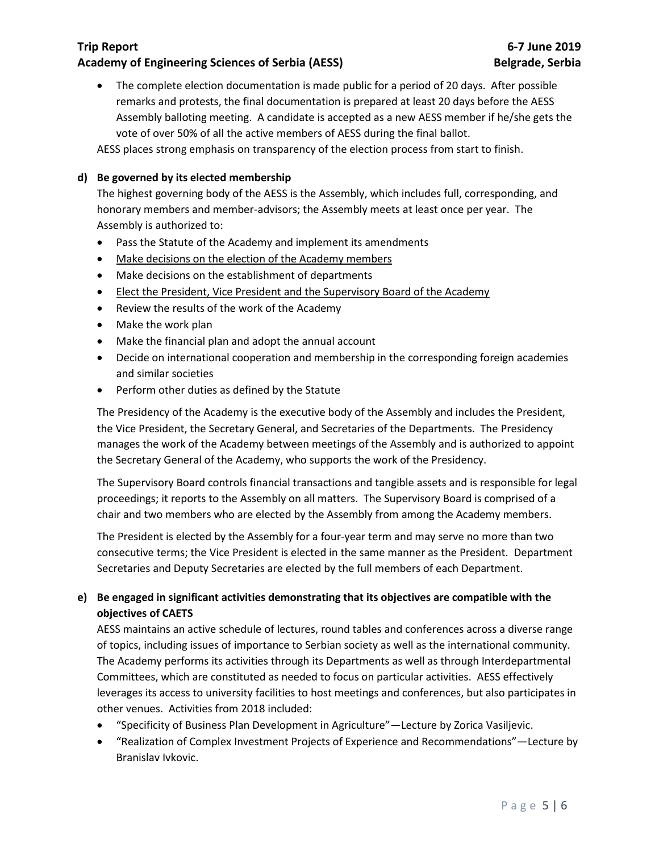• The complete election documentation is made public for a period of 20 days. After possible remarks and protests, the final documentation is prepared at least 20 days before the AESS Assembly balloting meeting. A candidate is accepted as a new AESS member if he/she gets the vote of over 50% of all the active members of AESS during the final ballot.

AESS places strong emphasis on transparency of the election process from start to finish.

# **d) Be governed by its elected membership**

The highest governing body of the AESS is the Assembly, which includes full, corresponding, and honorary members and member-advisors; the Assembly meets at least once per year. The Assembly is authorized to:

- Pass the Statute of the Academy and implement its amendments
- Make decisions on the election of the Academy members
- Make decisions on the establishment of departments
- Elect the President, Vice President and the Supervisory Board of the Academy
- Review the results of the work of the Academy
- Make the work plan
- Make the financial plan and adopt the annual account
- Decide on international cooperation and membership in the corresponding foreign academies and similar societies
- Perform other duties as defined by the Statute

The Presidency of the Academy is the executive body of the Assembly and includes the President, the Vice President, the Secretary General, and Secretaries of the Departments. The Presidency manages the work of the Academy between meetings of the Assembly and is authorized to appoint the Secretary General of the Academy, who supports the work of the Presidency.

The Supervisory Board controls financial transactions and tangible assets and is responsible for legal proceedings; it reports to the Assembly on all matters. The Supervisory Board is comprised of a chair and two members who are elected by the Assembly from among the Academy members.

The President is elected by the Assembly for a four-year term and may serve no more than two consecutive terms; the Vice President is elected in the same manner as the President. Department Secretaries and Deputy Secretaries are elected by the full members of each Department.

# **e) Be engaged in significant activities demonstrating that its objectives are compatible with the objectives of CAETS**

AESS maintains an active schedule of lectures, round tables and conferences across a diverse range of topics, including issues of importance to Serbian society as well as the international community. The Academy performs its activities through its Departments as well as through Interdepartmental Committees, which are constituted as needed to focus on particular activities. AESS effectively leverages its access to university facilities to host meetings and conferences, but also participates in other venues. Activities from 2018 included:

- "Specificity of Business Plan Development in Agriculture"—Lecture by Zorica Vasiljevic.
- "Realization of Complex Investment Projects of Experience and Recommendations"—Lecture by Branislav Ivkovic.